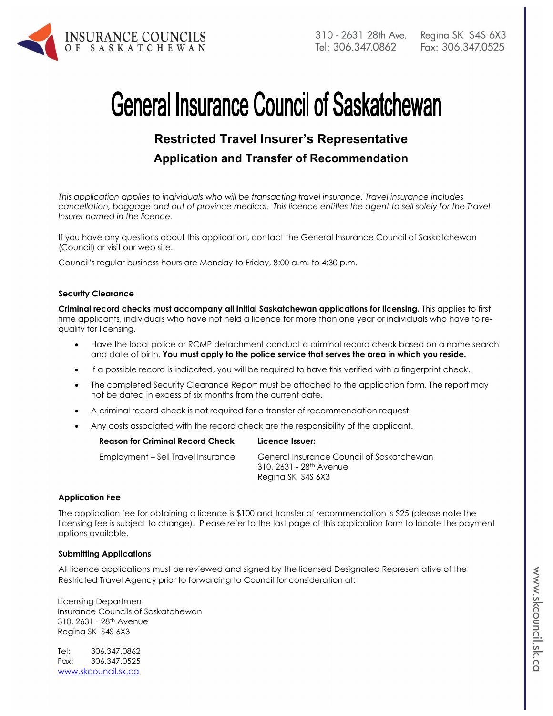

# **General Insurance Council of Saskatchewan**

# **Restricted Travel Insurer's Representative Application and Transfer of Recommendation**

*This application applies to individuals who will be transacting travel insurance. Travel insurance includes*  cancellation, baggage and out of province medical. This licence entitles the agent to sell solely for the Travel *Insurer named in the licence.* 

If you have any questions about this application, contact the General Insurance Council of Saskatchewan (Council) or visit our web site.

Council's regular business hours are Monday to Friday, 8:00 a.m. to 4:30 p.m.

#### **Security Clearance**

**Criminal record checks must accompany all initial Saskatchewan applications for licensing.** This applies to first time applicants, individuals who have not held a licence for more than one year or individuals who have to requalify for licensing.

- Have the local police or RCMP detachment conduct a criminal record check based on a name search and date of birth. **You must apply to the police service that serves the area in which you reside.**
- If a possible record is indicated, you will be required to have this verified with a fingerprint check.
- The completed Security Clearance Report must be attached to the application form. The report may not be dated in excess of six months from the current date.
- A criminal record check is not required for a transfer of recommendation request.
- Any costs associated with the record check are the responsibility of the applicant.

| <b>Reason for Criminal Record Check</b> | Licence Issuer:                                                                                       |
|-----------------------------------------|-------------------------------------------------------------------------------------------------------|
| Employment – Sell Travel Insurance      | General Insurance Council of Saskatchewan<br>310, 2631 - 28 <sup>th</sup> Avenue<br>Regina SK S4S 6X3 |
|                                         |                                                                                                       |

### **Application Fee**

The application fee for obtaining a licence is \$100 and transfer of recommendation is \$25 (please note the licensing fee is subject to change). Please refer to the last page of this application form to locate the payment options available.

#### **Submitting Applications**

All licence applications must be reviewed and signed by the licensed Designated Representative of the Restricted Travel Agency prior to forwarding to Council for consideration at:

Licensing Department Insurance Councils of Saskatchewan 310, 2631 - 28th Avenue Regina SK S4S 6X3

Tel: 306.347.0862 Fax: 306.347.0525 www.skcouncil.sk.ca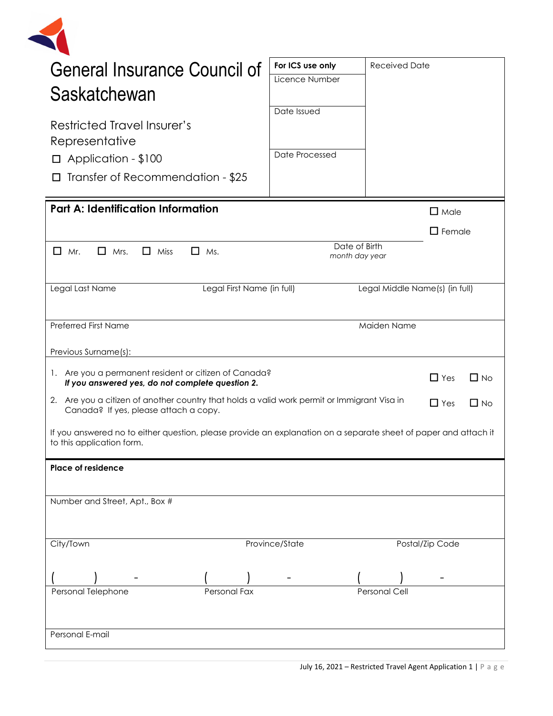| <b>General Insurance Council of</b>                                                                                                          | For ICS use only | <b>Received Date</b>            |                 |           |
|----------------------------------------------------------------------------------------------------------------------------------------------|------------------|---------------------------------|-----------------|-----------|
|                                                                                                                                              | Licence Number   |                                 |                 |           |
| Saskatchewan                                                                                                                                 |                  |                                 |                 |           |
|                                                                                                                                              | Date Issued      |                                 |                 |           |
| Restricted Travel Insurer's<br>Representative                                                                                                |                  |                                 |                 |           |
| $\Box$ Application - \$100                                                                                                                   | Date Processed   |                                 |                 |           |
| Transfer of Recommendation - \$25                                                                                                            |                  |                                 |                 |           |
| <b>Part A: Identification Information</b>                                                                                                    |                  |                                 | $\square$ Male  |           |
|                                                                                                                                              |                  |                                 | $\Box$ Female   |           |
| $\Box$<br>$\Box$ Mrs.<br>$\Box$ Miss<br>Mr.<br>$\Box$ Ms.                                                                                    |                  | Date of Birth<br>month day year |                 |           |
| Legal Last Name<br>Legal First Name (in full)                                                                                                |                  | Legal Middle Name(s) (in full)  |                 |           |
| <b>Preferred First Name</b>                                                                                                                  |                  | Maiden Name                     |                 |           |
|                                                                                                                                              |                  |                                 |                 |           |
| Previous Surname(s):                                                                                                                         |                  |                                 |                 |           |
| 1. Are you a permanent resident or citizen of Canada?<br>If you answered yes, do not complete question 2.                                    |                  |                                 | $\Box$ Yes      | $\Box$ No |
| 2. Are you a citizen of another country that holds a valid work permit or Immigrant Visa in<br>Canada? If yes, please attach a copy.         |                  |                                 | $\Box$ Yes      | $\Box$ No |
| If you answered no to either question, please provide an explanation on a separate sheet of paper and attach it<br>to this application form. |                  |                                 |                 |           |
| <b>Place of residence</b>                                                                                                                    |                  |                                 |                 |           |
|                                                                                                                                              |                  |                                 |                 |           |
| Number and Street, Apt., Box #                                                                                                               |                  |                                 |                 |           |
|                                                                                                                                              |                  |                                 |                 |           |
| City/Town                                                                                                                                    | Province/State   |                                 | Postal/Zip Code |           |
|                                                                                                                                              |                  |                                 |                 |           |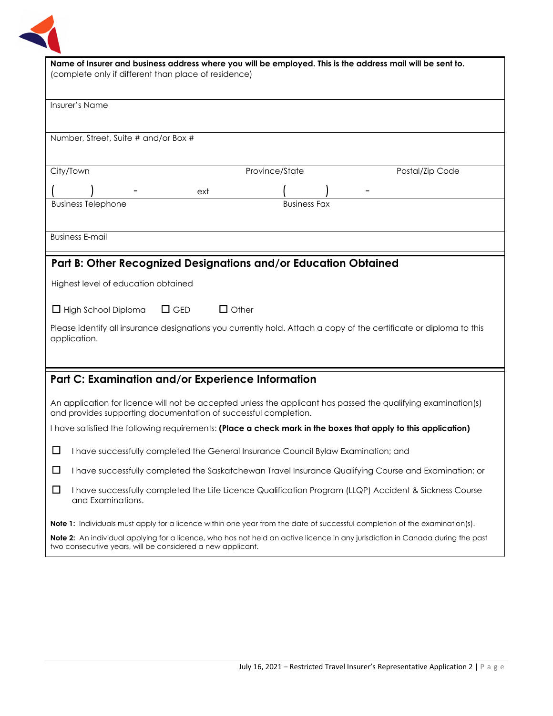

| Name of Insurer and business address where you will be employed. This is the address mail will be sent to.<br>(complete only if different than place of residence)                           |  |  |  |
|----------------------------------------------------------------------------------------------------------------------------------------------------------------------------------------------|--|--|--|
| Insurer's Name                                                                                                                                                                               |  |  |  |
| Number, Street, Suite # and/or Box #                                                                                                                                                         |  |  |  |
| Province/State<br>City/Town<br>Postal/Zip Code                                                                                                                                               |  |  |  |
| ext                                                                                                                                                                                          |  |  |  |
| <b>Business Telephone</b><br><b>Business Fax</b>                                                                                                                                             |  |  |  |
| <b>Business E-mail</b>                                                                                                                                                                       |  |  |  |
| Part B: Other Recognized Designations and/or Education Obtained                                                                                                                              |  |  |  |
| Highest level of education obtained                                                                                                                                                          |  |  |  |
| $\Box$ Other<br>$\Box$ GED<br>$\Box$ High School Diploma                                                                                                                                     |  |  |  |
| Please identify all insurance designations you currently hold. Attach a copy of the certificate or diploma to this<br>application.                                                           |  |  |  |
| Part C: Examination and/or Experience Information                                                                                                                                            |  |  |  |
| An application for licence will not be accepted unless the applicant has passed the qualifying examination(s)<br>and provides supporting documentation of successful completion.             |  |  |  |
| I have satisfied the following requirements: (Place a check mark in the boxes that apply to this application)                                                                                |  |  |  |
| ⊔<br>I have successfully completed the General Insurance Council Bylaw Examination; and                                                                                                      |  |  |  |
| $\Box$<br>I have successfully completed the Saskatchewan Travel Insurance Qualifying Course and Examination; or                                                                              |  |  |  |
| ப<br>I have successfully completed the Life Licence Qualification Program (LLQP) Accident & Sickness Course<br>and Examinations.                                                             |  |  |  |
| <b>Note 1:</b> Individuals must apply for a licence within one year from the date of successful completion of the examination(s).                                                            |  |  |  |
| Note 2: An individual applying for a licence, who has not held an active licence in any jurisdiction in Canada during the past<br>two consecutive years, will be considered a new applicant. |  |  |  |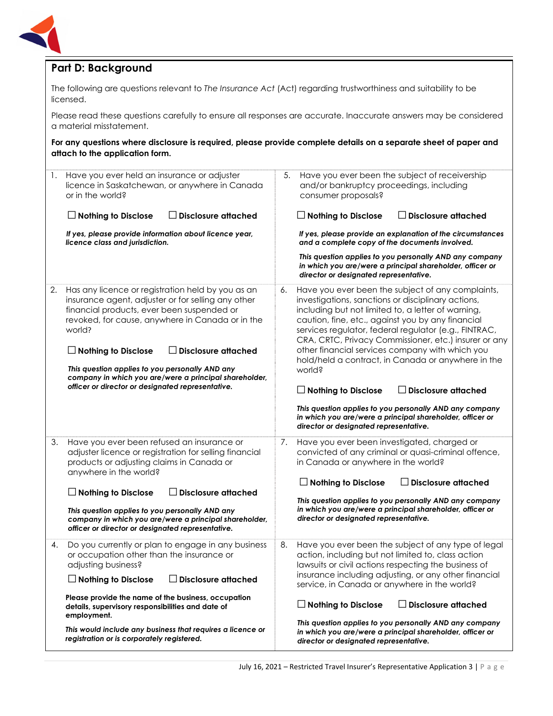

## **Part D: Background**

| licensed.                                                                                                                                                                                                                 |                                                                                                                                                                |    | The following are questions relevant to The Insurance Act (Act) regarding trustworthiness and suitability to be                                                                                                                                                                                                                      |
|---------------------------------------------------------------------------------------------------------------------------------------------------------------------------------------------------------------------------|----------------------------------------------------------------------------------------------------------------------------------------------------------------|----|--------------------------------------------------------------------------------------------------------------------------------------------------------------------------------------------------------------------------------------------------------------------------------------------------------------------------------------|
| a material misstatement.                                                                                                                                                                                                  |                                                                                                                                                                |    | Please read these questions carefully to ensure all responses are accurate. Inaccurate answers may be considered                                                                                                                                                                                                                     |
| attach to the application form.                                                                                                                                                                                           |                                                                                                                                                                |    | For any questions where disclosure is required, please provide complete details on a separate sheet of paper and                                                                                                                                                                                                                     |
| Have you ever held an insurance or adjuster<br>1.<br>licence in Saskatchewan, or anywhere in Canada<br>or in the world?                                                                                                   |                                                                                                                                                                | 5. | Have you ever been the subject of receivership<br>and/or bankruptcy proceedings, including<br>consumer proposals?                                                                                                                                                                                                                    |
| $\Box$ Nothing to Disclose                                                                                                                                                                                                | <b>Disclosure attached</b>                                                                                                                                     |    | $\Box$ Nothing to Disclose<br>$\Box$ Disclosure attached                                                                                                                                                                                                                                                                             |
| If yes, please provide information about licence year,<br>licence class and jurisdiction.                                                                                                                                 |                                                                                                                                                                |    | If yes, please provide an explanation of the circumstances<br>and a complete copy of the documents involved.                                                                                                                                                                                                                         |
|                                                                                                                                                                                                                           |                                                                                                                                                                |    | This question applies to you personally AND any company<br>in which you are/were a principal shareholder, officer or<br>director or designated representative.                                                                                                                                                                       |
| Has any licence or registration held by you as an<br>2.<br>insurance agent, adjuster or for selling any other<br>financial products, ever been suspended or<br>revoked, for cause, anywhere in Canada or in the<br>world? |                                                                                                                                                                | 6. | Have you ever been the subject of any complaints,<br>investigations, sanctions or disciplinary actions,<br>including but not limited to, a letter of warning,<br>caution, fine, etc., against you by any financial<br>services regulator, federal regulator (e.g., FINTRAC,<br>CRA, CRTC, Privacy Commissioner, etc.) insurer or any |
| $\Box$ Nothing to Disclose                                                                                                                                                                                                | $\Box$ Disclosure attached                                                                                                                                     |    | other financial services company with which you<br>hold/held a contract, in Canada or anywhere in the<br>world?                                                                                                                                                                                                                      |
|                                                                                                                                                                                                                           | This question applies to you personally AND any<br>company in which you are/were a principal shareholder,<br>officer or director or designated representative. |    | $\Box$ Disclosure attached<br>$\Box$ Nothing to Disclose                                                                                                                                                                                                                                                                             |
|                                                                                                                                                                                                                           |                                                                                                                                                                |    | This question applies to you personally AND any company<br>in which you are/were a principal shareholder, officer or<br>director or designated representative.                                                                                                                                                                       |
| Have you ever been refused an insurance or<br>3.<br>adjuster licence or registration for selling financial<br>products or adjusting claims in Canada or<br>anywhere in the world?                                         |                                                                                                                                                                | 7. | Have you ever been investigated, charged or<br>convicted of any criminal or quasi-criminal offence,<br>in Canada or anywhere in the world?                                                                                                                                                                                           |
| $\Box$ Nothing to Disclose                                                                                                                                                                                                | <b>Disclosure attached</b>                                                                                                                                     |    | $\Box$ Nothing to Disclose<br>$\Box$ Disclosure attached                                                                                                                                                                                                                                                                             |
| This question applies to you personally AND any<br>company in which you are/were a principal shareholder,<br>officer or director or designated representative.                                                            |                                                                                                                                                                |    | This question applies to you personally AND any company<br>in which you are/were a principal shareholder, officer or<br>director or designated representative.                                                                                                                                                                       |
| Do you currently or plan to engage in any business<br>4.<br>or occupation other than the insurance or<br>adjusting business?                                                                                              |                                                                                                                                                                | 8. | Have you ever been the subject of any type of legal<br>action, including but not limited to, class action<br>lawsuits or civil actions respecting the business of                                                                                                                                                                    |
| $\Box$ Nothing to Disclose                                                                                                                                                                                                | <b>Disclosure attached</b>                                                                                                                                     |    | insurance including adjusting, or any other financial<br>service, in Canada or anywhere in the world?                                                                                                                                                                                                                                |
| Please provide the name of the business, occupation<br>details, supervisory responsibilities and date of<br>employment.                                                                                                   |                                                                                                                                                                |    | $\Box$ Nothing to Disclose<br>$\Box$ Disclosure attached                                                                                                                                                                                                                                                                             |
| This would include any business that requires a licence or<br>registration or is corporately registered.                                                                                                                  |                                                                                                                                                                |    | This question applies to you personally AND any company<br>in which you are/were a principal shareholder, officer or<br>director or designated representative.                                                                                                                                                                       |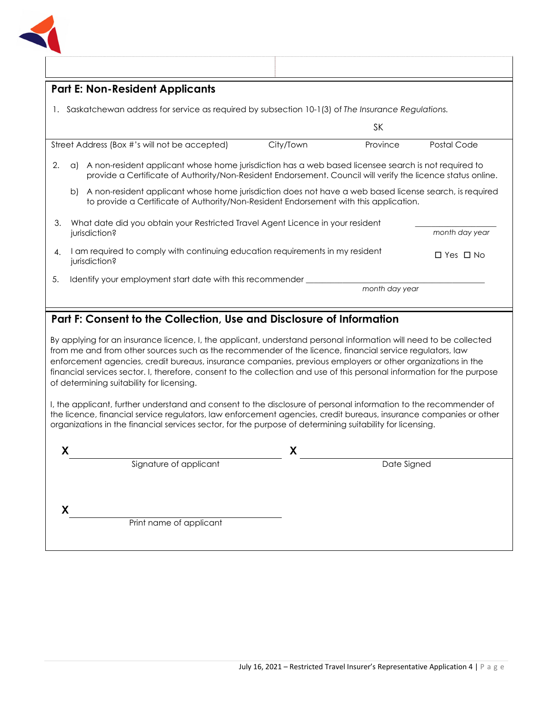

|                                                                                                                         | <b>Part E: Non-Resident Applicants</b>                                                       |                                                                                                                                                                                                                    |                         |
|-------------------------------------------------------------------------------------------------------------------------|----------------------------------------------------------------------------------------------|--------------------------------------------------------------------------------------------------------------------------------------------------------------------------------------------------------------------|-------------------------|
| Saskatchewan address for service as required by subsection 10-1(3) of The Insurance Regulations.                        |                                                                                              |                                                                                                                                                                                                                    |                         |
|                                                                                                                         |                                                                                              | SK                                                                                                                                                                                                                 |                         |
|                                                                                                                         | Street Address (Box #'s will not be accepted)                                                | City/Town<br>Province                                                                                                                                                                                              | Postal Code             |
| 2.                                                                                                                      | a)                                                                                           | A non-resident applicant whose home jurisdiction has a web based licensee search is not required to<br>provide a Certificate of Authority/Non-Resident Endorsement. Council will verify the licence status online. |                         |
|                                                                                                                         | b                                                                                            | A non-resident applicant whose home jurisdiction does not have a web based license search, is required<br>to provide a Certificate of Authority/Non-Resident Endorsement with this application.                    |                         |
| What date did you obtain your Restricted Travel Agent Licence in your resident<br>З.<br>month day year<br>jurisdiction? |                                                                                              |                                                                                                                                                                                                                    |                         |
| 4.                                                                                                                      | am required to comply with continuing education requirements in my resident<br>jurisdiction? |                                                                                                                                                                                                                    | Yes $\Box$ No<br>$\Box$ |
| 5.                                                                                                                      | Identify your employment start date with this recommender                                    | month day year                                                                                                                                                                                                     |                         |

## **Part F: Consent to the Collection, Use and Disclosure of Information**

By applying for an insurance licence, I, the applicant, understand personal information will need to be collected from me and from other sources such as the recommender of the licence, financial service regulators, law enforcement agencies, credit bureaus, insurance companies, previous employers or other organizations in the financial services sector. I, therefore, consent to the collection and use of this personal information for the purpose of determining suitability for licensing.

I, the applicant, further understand and consent to the disclosure of personal information to the recommender of the licence, financial service regulators, law enforcement agencies, credit bureaus, insurance companies or other organizations in the financial services sector, for the purpose of determining suitability for licensing.

| Signature of applicant  | Date Signed |  |
|-------------------------|-------------|--|
|                         |             |  |
|                         |             |  |
| Print name of applicant |             |  |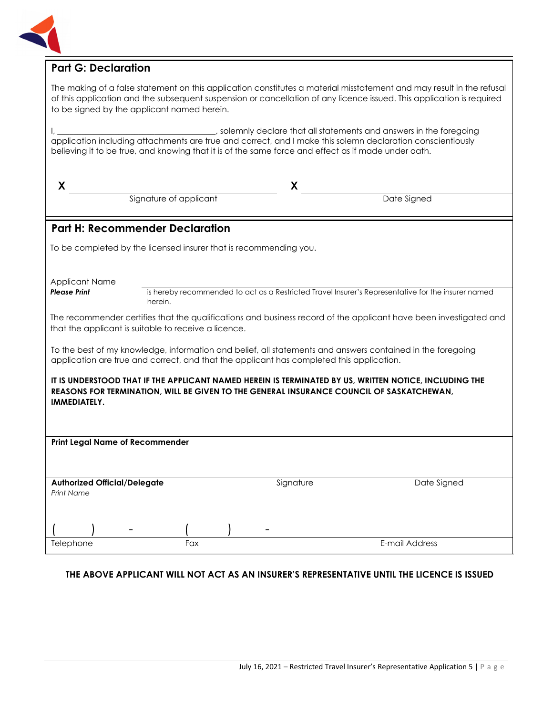

## **Part G: Declaration**

The making of a false statement on this application constitutes a material misstatement and may result in the refusal of this application and the subsequent suspension or cancellation of any licence issued. This application is required to be signed by the applicant named herein.

I, \_\_\_\_\_\_\_\_\_\_\_\_\_\_\_\_\_\_\_\_\_\_\_\_\_\_\_\_\_\_\_\_\_\_\_, solemnly declare that all statements and answers in the foregoing application including attachments are true and correct, and I make this solemn declaration conscientiously believing it to be true, and knowing that it is of the same force and effect as if made under oath.

| X                                                                                                                                                                                                                  |                        | X                                                                 |                                                                                                    |  |
|--------------------------------------------------------------------------------------------------------------------------------------------------------------------------------------------------------------------|------------------------|-------------------------------------------------------------------|----------------------------------------------------------------------------------------------------|--|
|                                                                                                                                                                                                                    | Signature of applicant |                                                                   | Date Signed                                                                                        |  |
| <b>Part H: Recommender Declaration</b>                                                                                                                                                                             |                        |                                                                   |                                                                                                    |  |
|                                                                                                                                                                                                                    |                        | To be completed by the licensed insurer that is recommending you. |                                                                                                    |  |
| <b>Applicant Name</b>                                                                                                                                                                                              |                        |                                                                   |                                                                                                    |  |
| <b>Please Print</b>                                                                                                                                                                                                | herein.                |                                                                   | is hereby recommended to act as a Restricted Travel Insurer's Representative for the insurer named |  |
| The recommender certifies that the qualifications and business record of the applicant have been investigated and<br>that the applicant is suitable to receive a licence.                                          |                        |                                                                   |                                                                                                    |  |
| To the best of my knowledge, information and belief, all statements and answers contained in the foregoing<br>application are true and correct, and that the applicant has completed this application.             |                        |                                                                   |                                                                                                    |  |
| IT IS UNDERSTOOD THAT IF THE APPLICANT NAMED HEREIN IS TERMINATED BY US, WRITTEN NOTICE, INCLUDING THE<br>REASONS FOR TERMINATION, WILL BE GIVEN TO THE GENERAL INSURANCE COUNCIL OF SASKATCHEWAN,<br>IMMEDIATELY. |                        |                                                                   |                                                                                                    |  |
| <b>Print Legal Name of Recommender</b>                                                                                                                                                                             |                        |                                                                   |                                                                                                    |  |
|                                                                                                                                                                                                                    |                        |                                                                   |                                                                                                    |  |
| <b>Authorized Official/Delegate</b><br><b>Print Name</b>                                                                                                                                                           |                        | Signature                                                         | Date Signed                                                                                        |  |
|                                                                                                                                                                                                                    |                        |                                                                   |                                                                                                    |  |
| Telephone                                                                                                                                                                                                          | Fax                    |                                                                   | E-mail Address                                                                                     |  |

## **THE ABOVE APPLICANT WILL NOT ACT AS AN INSURER'S REPRESENTATIVE UNTIL THE LICENCE IS ISSUED**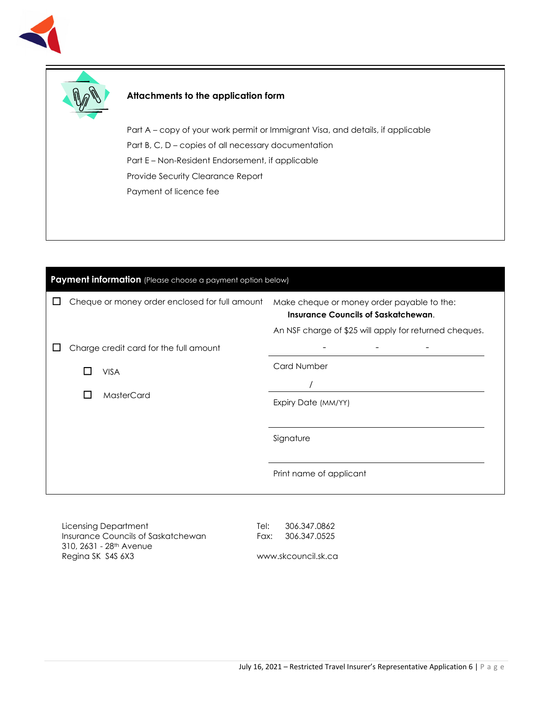



## **Attachments to the application form**

Part A – copy of your work permit or Immigrant Visa, and details, if applicable Part B, C, D – copies of all necessary documentation Part E – Non-Resident Endorsement, if applicable Provide Security Clearance Report Payment of licence fee

| Payment information (Please choose a payment option below) |                   |                                                |                                                                                                                                                    |  |
|------------------------------------------------------------|-------------------|------------------------------------------------|----------------------------------------------------------------------------------------------------------------------------------------------------|--|
|                                                            |                   | Cheque or money order enclosed for full amount | Make cheque or money order payable to the:<br><b>Insurance Councils of Saskatchewan.</b><br>An NSF charge of \$25 will apply for returned cheques. |  |
|                                                            |                   | Charge credit card for the full amount         |                                                                                                                                                    |  |
|                                                            |                   | <b>VISA</b>                                    | <b>Card Number</b>                                                                                                                                 |  |
|                                                            |                   |                                                |                                                                                                                                                    |  |
|                                                            | MasterCard<br>I I | Expiry Date (MM/YY)                            |                                                                                                                                                    |  |
|                                                            |                   |                                                |                                                                                                                                                    |  |
|                                                            |                   |                                                | Signature                                                                                                                                          |  |
|                                                            |                   |                                                | Print name of applicant                                                                                                                            |  |

Licensing Department Insurance Councils of Saskatchewan 310, 2631 - 28th Avenue Regina SK S4S 6X3

Tel: 306.347.0862 Fax: 306.347.0525

www.skcouncil.sk.ca